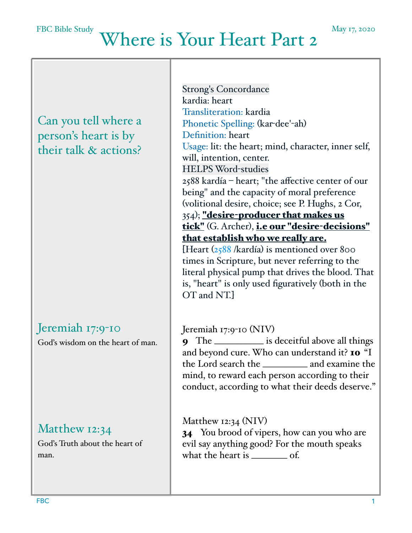# Where is Your Heart Part 2

Can you tell where a person's heart is by their talk & actions?

# Jeremiah 17:9-10

God's wisdom on the heart of man.

### Matthew 12:34

God's Truth about the heart of man.

Strong's Concordance kardia: heart Transliteration: kardia Phonetic Spelling: (kar-dee'-ah) Definition: heart Usage: lit: the heart; mind, character, inner self, will, intention, center. HELPS Word-studies 2588 kardía – heart; "the affective center of our being" and the capacity of moral preference (volitional desire, choice; see P. Hughs, 2 Cor, 354); "desire-producer that makes us tick" (G. Archer), i.e our "desire-decisions" that establish who we really are. [Heart ([2588](https://biblehub.com/greek/2588.htm) /kardía) is mentioned over 800 times in Scripture, but never referring to the literal physical pump that drives the blood. That

is, "heart" is only used figuratively (both in the OT and NT.]

Jeremiah 17:9-10 (NIV)

9 The \_\_\_\_\_\_\_\_\_\_\_ is deceitful above all things and beyond cure. Who can understand it? 10 "I the Lord search the \_\_\_\_\_\_\_\_\_\_ and examine the mind, to reward each person according to their conduct, according to what their deeds deserve."

Matthew 12:34 (NIV)

34 You brood of vipers, how can you who are evil say anything good? For the mouth speaks what the heart is \_\_\_\_\_\_\_\_ of.